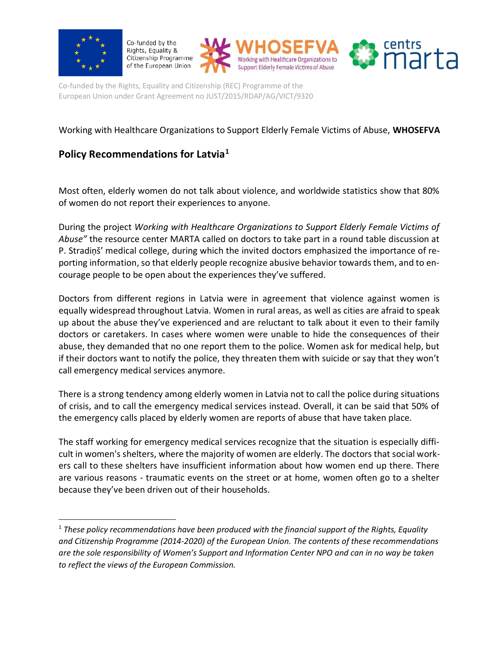

 $\overline{\phantom{a}}$ 

Co-funded by the Rights, Equality & Citizenship Programme of the European Union





Co-funded by the Rights, Equality and Citizenship (REC) Programme of the European Union under Grant Agreement no JUST/2015/RDAP/AG/VICT/9320

## Working with Healthcare Organizations to Support Elderly Female Victims of Abuse, **WHOSEFVA**

# **Policy Recommendations for Latvia<sup>1</sup>**

Most often, elderly women do not talk about violence, and worldwide statistics show that 80% of women do not report their experiences to anyone.

During the project *Working with Healthcare Organizations to Support Elderly Female Victims of Abuse"* the resource center MARTA called on doctors to take part in a round table discussion at P. Stradiņš' medical college, during which the invited doctors emphasized the importance of reporting information, so that elderly people recognize abusive behavior towards them, and to encourage people to be open about the experiences they've suffered.

Doctors from different regions in Latvia were in agreement that violence against women is equally widespread throughout Latvia. Women in rural areas, as well as cities are afraid to speak up about the abuse they've experienced and are reluctant to talk about it even to their family doctors or caretakers. In cases where women were unable to hide the consequences of their abuse, they demanded that no one report them to the police. Women ask for medical help, but if their doctors want to notify the police, they threaten them with suicide or say that they won't call emergency medical services anymore.

There is a strong tendency among elderly women in Latvia not to call the police during situations of crisis, and to call the emergency medical services instead. Overall, it can be said that 50% of the emergency calls placed by elderly women are reports of abuse that have taken place.

The staff working for emergency medical services recognize that the situation is especially difficult in women's shelters, where the majority of women are elderly. The doctors that social workers call to these shelters have insufficient information about how women end up there. There are various reasons - traumatic events on the street or at home, women often go to a shelter because they've been driven out of their households.

<sup>1</sup> *These policy recommendations have been produced with the financial support of the Rights, Equality and Citizenship Programme (2014-2020) of the European Union. The contents of these recommendations are the sole responsibility of Women's Support and Information Center NPO and can in no way be taken to reflect the views of the European Commission.*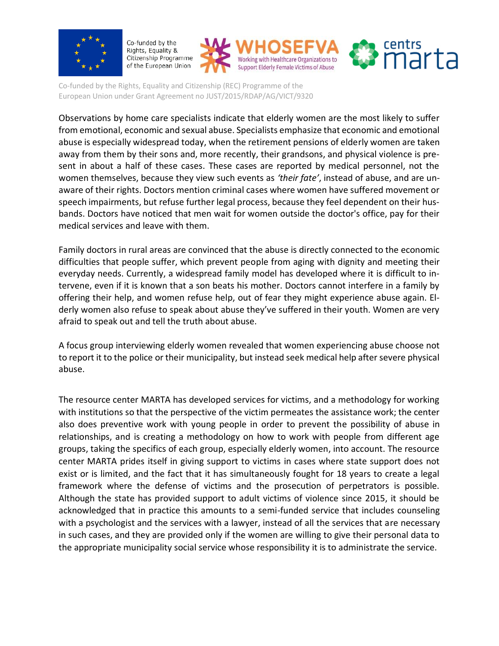

Co-funded by the Rights, Equality & Citizenship Programme of the European Union





Co-funded by the Rights, Equality and Citizenship (REC) Programme of the European Union under Grant Agreement no JUST/2015/RDAP/AG/VICT/9320

Observations by home care specialists indicate that elderly women are the most likely to suffer from emotional, economic and sexual abuse. Specialists emphasize that economic and emotional abuse is especially widespread today, when the retirement pensions of elderly women are taken away from them by their sons and, more recently, their grandsons, and physical violence is present in about a half of these cases. These cases are reported by medical personnel, not the women themselves, because they view such events as *'their fate'*, instead of abuse, and are unaware of their rights. Doctors mention criminal cases where women have suffered movement or speech impairments, but refuse further legal process, because they feel dependent on their husbands. Doctors have noticed that men wait for women outside the doctor's office, pay for their medical services and leave with them.

Family doctors in rural areas are convinced that the abuse is directly connected to the economic difficulties that people suffer, which prevent people from aging with dignity and meeting their everyday needs. Currently, a widespread family model has developed where it is difficult to intervene, even if it is known that a son beats his mother. Doctors cannot interfere in a family by offering their help, and women refuse help, out of fear they might experience abuse again. Elderly women also refuse to speak about abuse they've suffered in their youth. Women are very afraid to speak out and tell the truth about abuse.

A focus group interviewing elderly women revealed that women experiencing abuse choose not to report it to the police or their municipality, but instead seek medical help after severe physical abuse.

The resource center MARTA has developed services for victims, and a methodology for working with institutions so that the perspective of the victim permeates the assistance work; the center also does preventive work with young people in order to prevent the possibility of abuse in relationships, and is creating a methodology on how to work with people from different age groups, taking the specifics of each group, especially elderly women, into account. The resource center MARTA prides itself in giving support to victims in cases where state support does not exist or is limited, and the fact that it has simultaneously fought for 18 years to create a legal framework where the defense of victims and the prosecution of perpetrators is possible. Although the state has provided support to adult victims of violence since 2015, it should be acknowledged that in practice this amounts to a semi-funded service that includes counseling with a psychologist and the services with a lawyer, instead of all the services that are necessary in such cases, and they are provided only if the women are willing to give their personal data to the appropriate municipality social service whose responsibility it is to administrate the service.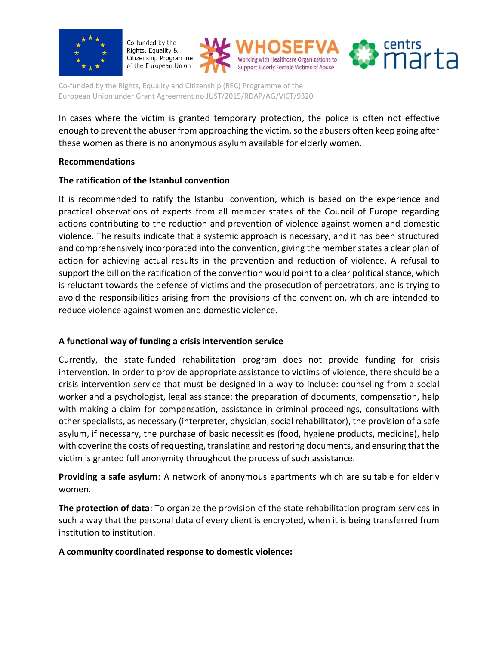

Co-funded by the Rights, Equality & Citizenship Programme of the European Union





Co-funded by the Rights, Equality and Citizenship (REC) Programme of the European Union under Grant Agreement no JUST/2015/RDAP/AG/VICT/9320

In cases where the victim is granted temporary protection, the police is often not effective enough to prevent the abuser from approaching the victim, so the abusers often keep going after these women as there is no anonymous asylum available for elderly women.

#### **Recommendations**

## **The ratification of the Istanbul convention**

It is recommended to ratify the Istanbul convention, which is based on the experience and practical observations of experts from all member states of the Council of Europe regarding actions contributing to the reduction and prevention of violence against women and domestic violence. The results indicate that a systemic approach is necessary, and it has been structured and comprehensively incorporated into the convention, giving the member states a clear plan of action for achieving actual results in the prevention and reduction of violence. A refusal to support the bill on the ratification of the convention would point to a clear political stance, which is reluctant towards the defense of victims and the prosecution of perpetrators, and is trying to avoid the responsibilities arising from the provisions of the convention, which are intended to reduce violence against women and domestic violence.

## **A functional way of funding a crisis intervention service**

Currently, the state-funded rehabilitation program does not provide funding for crisis intervention. In order to provide appropriate assistance to victims of violence, there should be a crisis intervention service that must be designed in a way to include: counseling from a social worker and a psychologist, legal assistance: the preparation of documents, compensation, help with making a claim for compensation, assistance in criminal proceedings, consultations with other specialists, as necessary (interpreter, physician, social rehabilitator), the provision of a safe asylum, if necessary, the purchase of basic necessities (food, hygiene products, medicine), help with covering the costs of requesting, translating and restoring documents, and ensuring that the victim is granted full anonymity throughout the process of such assistance.

**Providing a safe asylum**: A network of anonymous apartments which are suitable for elderly women.

**The protection of data**: To organize the provision of the state rehabilitation program services in such a way that the personal data of every client is encrypted, when it is being transferred from institution to institution.

#### **A community coordinated response to domestic violence:**